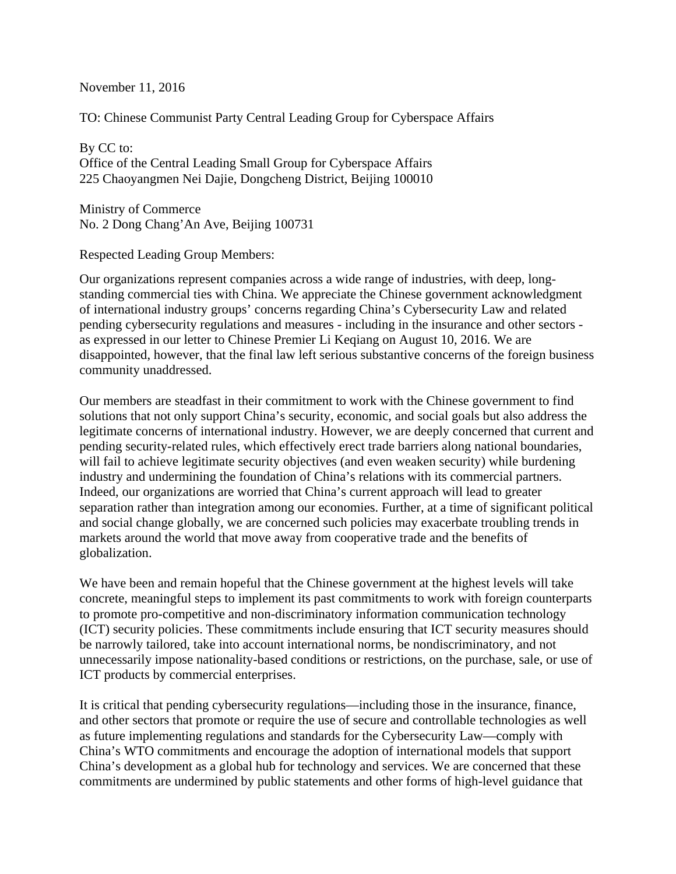November 11, 2016

TO: Chinese Communist Party Central Leading Group for Cyberspace Affairs

By CC to: Office of the Central Leading Small Group for Cyberspace Affairs 225 Chaoyangmen Nei Dajie, Dongcheng District, Beijing 100010

Ministry of Commerce No. 2 Dong Chang'An Ave, Beijing 100731

Respected Leading Group Members:

Our organizations represent companies across a wide range of industries, with deep, longstanding commercial ties with China. We appreciate the Chinese government acknowledgment of international industry groups' concerns regarding China's Cybersecurity Law and related pending cybersecurity regulations and measures - including in the insurance and other sectors as expressed in our letter to Chinese Premier Li Keqiang on August 10, 2016. We are disappointed, however, that the final law left serious substantive concerns of the foreign business community unaddressed.

Our members are steadfast in their commitment to work with the Chinese government to find solutions that not only support China's security, economic, and social goals but also address the legitimate concerns of international industry. However, we are deeply concerned that current and pending security-related rules, which effectively erect trade barriers along national boundaries, will fail to achieve legitimate security objectives (and even weaken security) while burdening industry and undermining the foundation of China's relations with its commercial partners. Indeed, our organizations are worried that China's current approach will lead to greater separation rather than integration among our economies. Further, at a time of significant political and social change globally, we are concerned such policies may exacerbate troubling trends in markets around the world that move away from cooperative trade and the benefits of globalization.

We have been and remain hopeful that the Chinese government at the highest levels will take concrete, meaningful steps to implement its past commitments to work with foreign counterparts to promote pro-competitive and non-discriminatory information communication technology (ICT) security policies. These commitments include ensuring that ICT security measures should be narrowly tailored, take into account international norms, be nondiscriminatory, and not unnecessarily impose nationality-based conditions or restrictions, on the purchase, sale, or use of ICT products by commercial enterprises.

It is critical that pending cybersecurity regulations—including those in the insurance, finance, and other sectors that promote or require the use of secure and controllable technologies as well as future implementing regulations and standards for the Cybersecurity Law—comply with China's WTO commitments and encourage the adoption of international models that support China's development as a global hub for technology and services. We are concerned that these commitments are undermined by public statements and other forms of high-level guidance that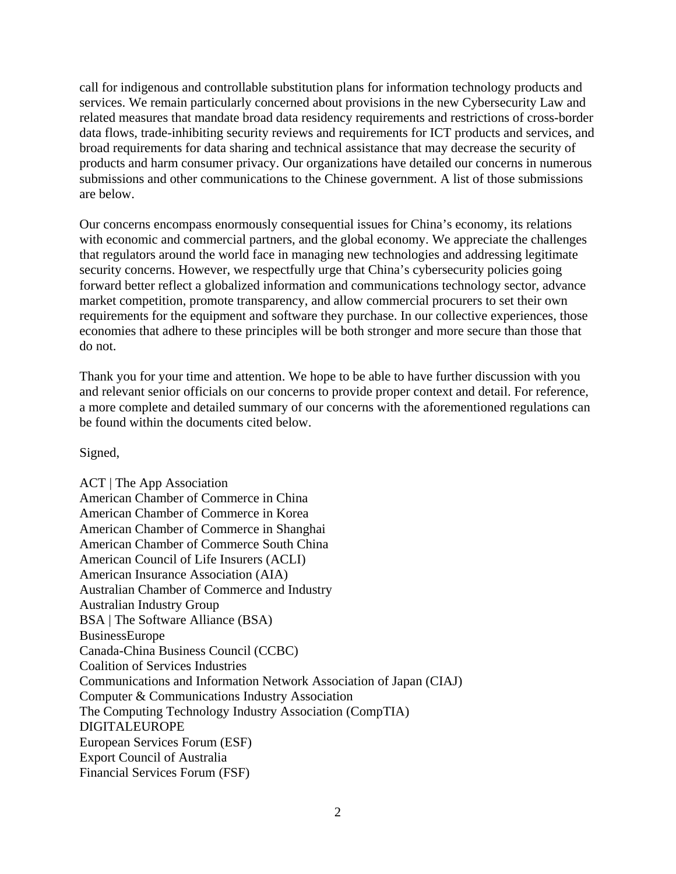call for indigenous and controllable substitution plans for information technology products and services. We remain particularly concerned about provisions in the new Cybersecurity Law and related measures that mandate broad data residency requirements and restrictions of cross-border data flows, trade-inhibiting security reviews and requirements for ICT products and services, and broad requirements for data sharing and technical assistance that may decrease the security of products and harm consumer privacy. Our organizations have detailed our concerns in numerous submissions and other communications to the Chinese government. A list of those submissions are below.

Our concerns encompass enormously consequential issues for China's economy, its relations with economic and commercial partners, and the global economy. We appreciate the challenges that regulators around the world face in managing new technologies and addressing legitimate security concerns. However, we respectfully urge that China's cybersecurity policies going forward better reflect a globalized information and communications technology sector, advance market competition, promote transparency, and allow commercial procurers to set their own requirements for the equipment and software they purchase. In our collective experiences, those economies that adhere to these principles will be both stronger and more secure than those that do not.

Thank you for your time and attention. We hope to be able to have further discussion with you and relevant senior officials on our concerns to provide proper context and detail. For reference, a more complete and detailed summary of our concerns with the aforementioned regulations can be found within the documents cited below.

# Signed,

ACT | The App Association American Chamber of Commerce in China American Chamber of Commerce in Korea American Chamber of Commerce in Shanghai American Chamber of Commerce South China American Council of Life Insurers (ACLI) American Insurance Association (AIA) Australian Chamber of Commerce and Industry Australian Industry Group BSA | The Software Alliance (BSA) BusinessEurope Canada-China Business Council (CCBC) Coalition of Services Industries Communications and Information Network Association of Japan (CIAJ) Computer & Communications Industry Association The Computing Technology Industry Association (CompTIA) DIGITALEUROPE European Services Forum (ESF) Export Council of Australia Financial Services Forum (FSF)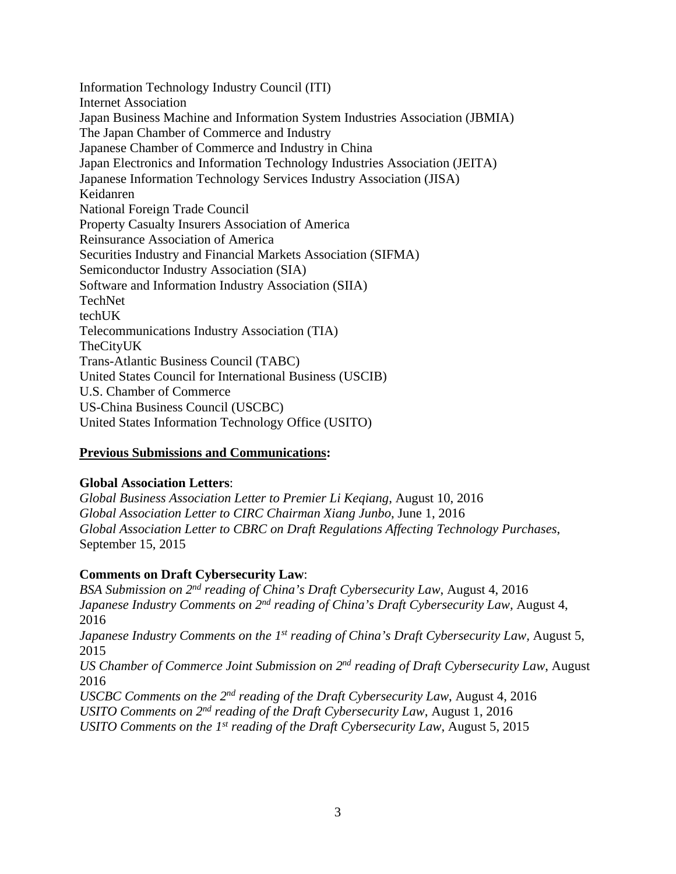Information Technology Industry Council (ITI) Internet Association Japan Business Machine and Information System Industries Association (JBMIA) The Japan Chamber of Commerce and Industry Japanese Chamber of Commerce and Industry in China Japan Electronics and Information Technology Industries Association (JEITA) Japanese Information Technology Services Industry Association (JISA) Keidanren National Foreign Trade Council Property Casualty Insurers Association of America Reinsurance Association of America Securities Industry and Financial Markets Association (SIFMA) Semiconductor Industry Association (SIA) Software and Information Industry Association (SIIA) **TechNet** techUK Telecommunications Industry Association (TIA) TheCityUK Trans-Atlantic Business Council (TABC) United States Council for International Business (USCIB) U.S. Chamber of Commerce US-China Business Council (USCBC) United States Information Technology Office (USITO)

# **Previous Submissions and Communications:**

# **Global Association Letters**:

*Global Business Association Letter to Premier Li Keqiang*, August 10, 2016 *Global Association Letter to CIRC Chairman Xiang Junbo*, June 1, 2016 *Global Association Letter to CBRC on Draft Regulations Affecting Technology Purchases*, September 15, 2015

# **Comments on Draft Cybersecurity Law**:

*BSA Submission on 2nd reading of China's Draft Cybersecurity Law*, August 4, 2016 *Japanese Industry Comments on 2<sup>nd</sup> reading of China's Draft Cybersecurity Law, August 4,* 2016 *Japanese Industry Comments on the 1<sup>st</sup> reading of China's Draft Cybersecurity Law, August 5,* 2015 *US Chamber of Commerce Joint Submission on 2nd reading of Draft Cybersecurity Law*, August

2016

*USCBC Comments on the 2nd reading of the Draft Cybersecurity Law*, August 4, 2016 *USITO Comments on 2nd reading of the Draft Cybersecurity Law*, August 1, 2016 *USITO Comments on the 1st reading of the Draft Cybersecurity Law*, August 5, 2015